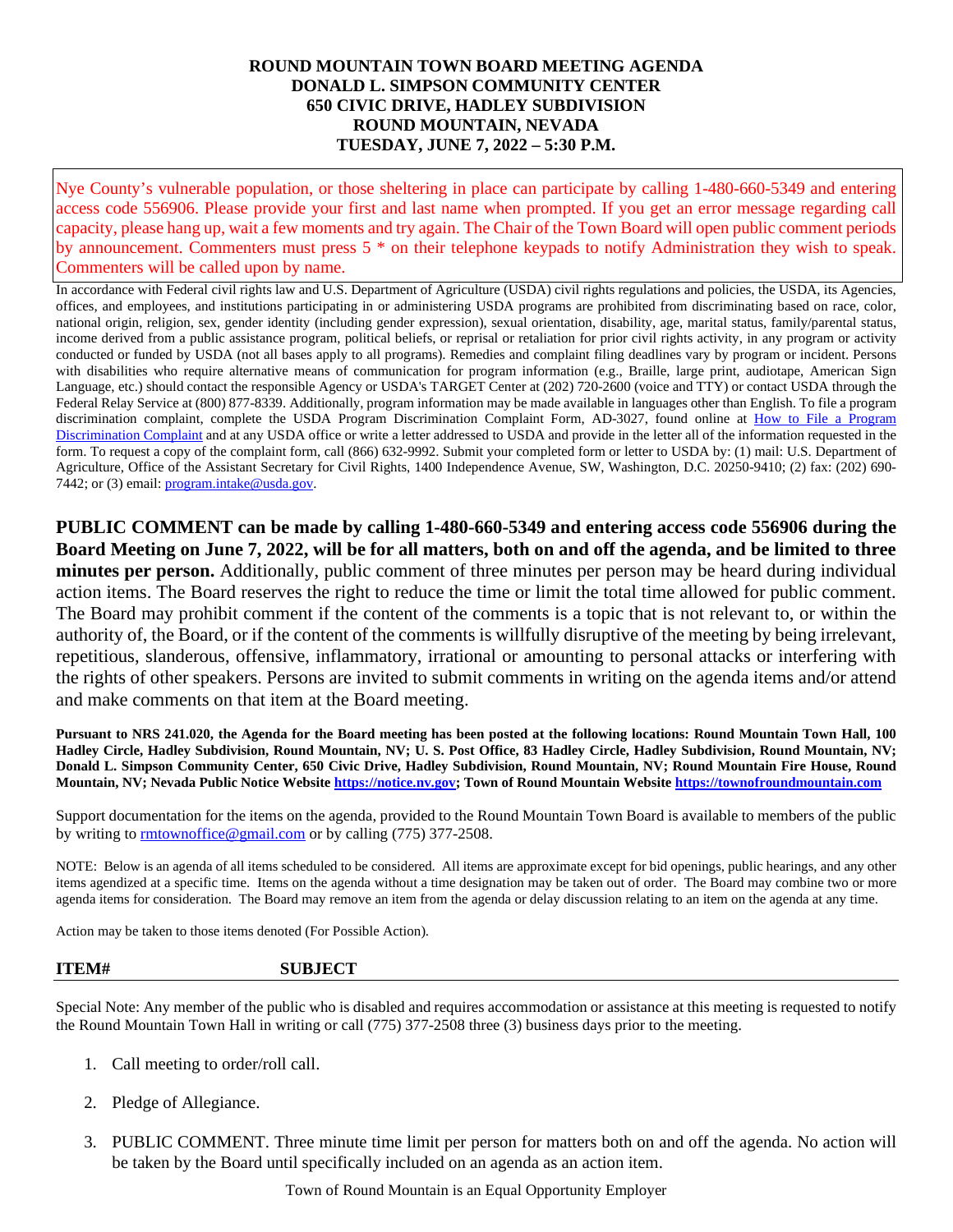## **ROUND MOUNTAIN TOWN BOARD MEETING AGENDA DONALD L. SIMPSON COMMUNITY CENTER 650 CIVIC DRIVE, HADLEY SUBDIVISION ROUND MOUNTAIN, NEVADA TUESDAY, JUNE 7, 2022 – 5:30 P.M.**

Nye County's vulnerable population, or those sheltering in place can participate by calling 1-480-660-5349 and entering access code 556906. Please provide your first and last name when prompted. If you get an error message regarding call capacity, please hang up, wait a few moments and try again. The Chair of the Town Board will open public comment periods by announcement. Commenters must press 5 \* on their telephone keypads to notify Administration they wish to speak. Commenters will be called upon by name.

In accordance with Federal civil rights law and U.S. Department of Agriculture (USDA) civil rights regulations and policies, the USDA, its Agencies, offices, and employees, and institutions participating in or administering USDA programs are prohibited from discriminating based on race, color, national origin, religion, sex, gender identity (including gender expression), sexual orientation, disability, age, marital status, family/parental status, income derived from a public assistance program, political beliefs, or reprisal or retaliation for prior civil rights activity, in any program or activity conducted or funded by USDA (not all bases apply to all programs). Remedies and complaint filing deadlines vary by program or incident. Persons with disabilities who require alternative means of communication for program information (e.g., Braille, large print, audiotape, American Sign Language, etc.) should contact the responsible Agency or USDA's TARGET Center at (202) 720-2600 (voice and TTY) or contact USDA through the Federal Relay Service at (800) 877-8339. Additionally, program information may be made available in languages other than English. To file a program discrimination complaint, complete the USDA Program Discrimination Complaint Form, AD-3027, found online at How to File a Program [Discrimination Complaint](https://www.ascr.usda.gov/how-file-program-discrimination-complaint) and at any USDA office or write a letter addressed to USDA and provide in the letter all of the information requested in the form. To request a copy of the complaint form, call (866) 632-9992. Submit your completed form or letter to USDA by: (1) mail: U.S. Department of Agriculture, Office of the Assistant Secretary for Civil Rights, 1400 Independence Avenue, SW, Washington, D.C. 20250-9410; (2) fax: (202) 690 7442; or (3) email: [program.intake@usda.gov.](mailto:program.intake@usda.gov)

**PUBLIC COMMENT can be made by calling 1-480-660-5349 and entering access code 556906 during the Board Meeting on June 7, 2022, will be for all matters, both on and off the agenda, and be limited to three minutes per person.** Additionally, public comment of three minutes per person may be heard during individual action items. The Board reserves the right to reduce the time or limit the total time allowed for public comment. The Board may prohibit comment if the content of the comments is a topic that is not relevant to, or within the authority of, the Board, or if the content of the comments is willfully disruptive of the meeting by being irrelevant, repetitious, slanderous, offensive, inflammatory, irrational or amounting to personal attacks or interfering with the rights of other speakers. Persons are invited to submit comments in writing on the agenda items and/or attend and make comments on that item at the Board meeting.

**Pursuant to NRS 241.020, the Agenda for the Board meeting has been posted at the following locations: Round Mountain Town Hall, 100 Hadley Circle, Hadley Subdivision, Round Mountain, NV; U. S. Post Office, 83 Hadley Circle, Hadley Subdivision, Round Mountain, NV; Donald L. Simpson Community Center, 650 Civic Drive, Hadley Subdivision, Round Mountain, NV; Round Mountain Fire House, Round Mountain, NV; Nevada Public Notice Websit[e https://notice.nv.gov;](https://notice.nv.gov/) Town of Round Mountain Website [https://townofroundmountain.com](https://townofroundmountain.com/)**

Support documentation for the items on the agenda, provided to the Round Mountain Town Board is available to members of the public by writing to [rmtownoffice@gmail.com](mailto:rmtownoffice@gmail.com) or by calling (775) 377-2508.

NOTE: Below is an agenda of all items scheduled to be considered. All items are approximate except for bid openings, public hearings, and any other items agendized at a specific time. Items on the agenda without a time designation may be taken out of order. The Board may combine two or more agenda items for consideration. The Board may remove an item from the agenda or delay discussion relating to an item on the agenda at any time.

Action may be taken to those items denoted (For Possible Action).

## **ITEM# SUBJECT**

Special Note: Any member of the public who is disabled and requires accommodation or assistance at this meeting is requested to notify the Round Mountain Town Hall in writing or call (775) 377-2508 three (3) business days prior to the meeting.

- 1. Call meeting to order/roll call.
- 2. Pledge of Allegiance.
- 3. PUBLIC COMMENT. Three minute time limit per person for matters both on and off the agenda. No action will be taken by the Board until specifically included on an agenda as an action item.

Town of Round Mountain is an Equal Opportunity Employer